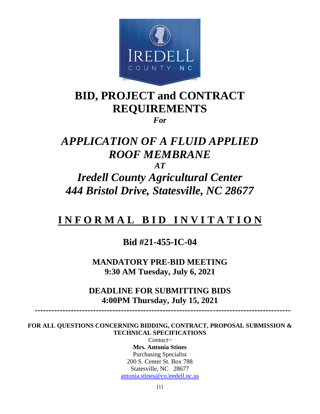

# **BID, PROJECT and CONTRACT REQUIREMENTS**

*For*

# *APPLICATION OF A FLUID APPLIED ROOF MEMBRANE*

*AT* 

*Iredell County Agricultural Center 444 Bristol Drive, Statesville, NC 28677*

# **I N F O R M A L B I D I N V I T A T I O N**

# **Bid #21-455-IC-04**

**MANDATORY PRE-BID MEETING 9:30 AM Tuesday, July 6, 2021**

**DEADLINE FOR SUBMITTING BIDS 4:00PM Thursday, July 15, 2021**

 **--------------------------------------------------------------------------------------------**

**FOR ALL QUESTIONS CONCERNING BIDDING, CONTRACT, PROPOSAL SUBMISSION & TECHNICAL SPECIFICATIONS** 

> *Contact~* **Mrs. Antonia Stines** Purchasing Specialist 200 S. Center St. Box 788 Statesville, NC 28677 [antonia.stines@co.iredell.nc.us](mailto:antonia.stines@co.iredell.nc.us)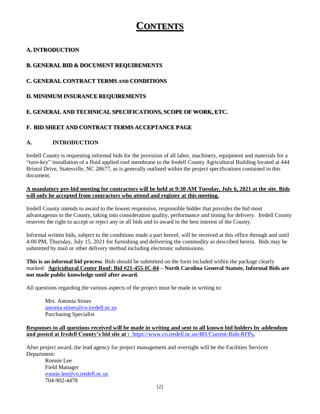# **CONTENTS**

# **A. INTRODUCTION**

# **B. GENERAL BID & DOCUMENT REQUIREMENTS**

# **C. GENERAL CONTRACT TERMS AND CONDITIONS**

## **D. MINIMUM INSURANCE REQUIREMENTS**

# **E. GENERAL AND TECHNICAL SPECIFICATIONS, SCOPE OF WORK, ETC.**

# **F. BID SHEET AND CONTRACT TERMS ACCEPTANCE PAGE**

## **A. INTRODUCTION**

Iredell County is requesting informal bids for the provision of all labor, machinery, equipment and materials for a "turn-key" installation of a fluid applied roof membrane to the Iredell County Agricultural Building located at 444 Bristol Drive, Statesville, NC 28677, as is generally outlined within the project specifications contained in this document.

#### **A mandatory pre-bid meeting for contractors will be held at 9:30 AM Tuesday, July 6, 2021 at the site. Bids will only be accepted from contractors who attend and register at this meeting.**

Iredell County intends to award to the lowest responsive, responsible bidder that provides the bid most advantageous to the County, taking into consideration quality, performance and timing for delivery. Iredell County reserves the right to accept or reject any or all bids and to award in the best interest of the County.

Informal written bids, subject to the conditions made a part hereof, will be received at this office through and until 4:00 PM, Thursday, July 15, 2021 for furnishing and delivering the commodity as described herein. Bids may be submitted by mail or other delivery method including electronic submissions.

**This is an informal bid process**. Bids should be submitted on the form included within the package clearly marked: **Agricultural Center Roof: Bid #21-455-IC-04 – North Carolina General Statute, Informal Bids are not made public knowledge until after award.** 

All questions regarding the various aspects of the project must be made in writing to:

Mrs. Antonia Stines [antonia.stines@co.iredell.nc.us](mailto:antonia.stines@co.iredell.nc.us) Purchasing Specialist

#### **Responses to all questions received will be made in writing and sent to all known bid holders by addendum and posted at Iredell County's bid site at :** <https://www.co.iredell.nc.us/481/Current-Bids-RFPs>**.**

After project award, the lead agency for project management and oversight will be the Facilities Services Department:

Ronnie Lee Field Manager [ronnie.lee@co.iredell.nc.us](mailto:ronnie.lee@co.iredell.nc.us) 704-902-4478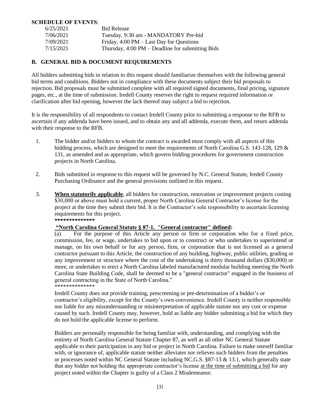#### **SCHEDULE OF EVENTS**:

| 6/25/2021 | <b>Bid Release</b>                                         |
|-----------|------------------------------------------------------------|
| 7/06/2021 | Tuesday, 9:30 am - MANDATORY Pre-bid                       |
| 7/09/2021 | Friday, $4:00 \text{ PM} - \text{Last Day}$ for Questions  |
| 7/15/2021 | Thursday, $4:00 \text{ PM}$ – Deadline for submitting Bids |

## **B. GENERAL BID & DOCUMENT REQUIREMENTS**

All bidders submitting bids in relation to this request should familiarize themselves with the following general bid terms and conditions. Bidders not in compliance with these documents subject their bid proposals to rejection. Bid proposals must be submitted complete with all required signed documents, final pricing, signature pages, etc., at the time of submission. Iredell County reserves the right to request required information or clarification after bid opening, however the lack thereof may subject a bid to rejection.

It is the responsibility of all respondents to contact Iredell County prior to submitting a response to the RFB to ascertain if any addenda have been issued, and to obtain any and all addenda, execute them, and return addenda with their response to the RFB.

- 1. The bidder and/or bidders to whom the contract is awarded must comply with all aspects of this bidding process, which are designed to meet the requirements of North Carolina G.S. 143-128, 129 & 131, as amended and as appropriate, which govern bidding procedures for government construction projects in North Carolina.
- 2. Bids submitted in response to this request will be governed by N.C. General Statute, Iredell County Purchasing Ordinance and the general provisions outlined in this request.
- 3. **When statutorily applicable**, all bidders for construction, renovation or improvement projects costing \$30,000 or above must hold a current, proper North Carolina General Contractor's license for the project at the time they submit their bid. It is the Contractor's sole responsibility to ascertain licensing requirements for this project. **\*\*\*\*\*\*\*\*\*\*\*\*\*\***

#### **"North Carolina General Statute § 87-1. "General contractor" defined:**

(a) For the purpose of this Article any person or firm or corporation who for a fixed price, commission, fee, or wage, undertakes to bid upon or to construct or who undertakes to superintend or manage, on his own behalf or for any person, firm, or corporation that is not licensed as a general contractor pursuant to this Article, the construction of any building, highway, public utilities, grading or any improvement or structure where the cost of the undertaking is thirty thousand dollars (\$30,000) or more, or undertakes to erect a North Carolina labeled manufactured modular building meeting the North Carolina State Building Code, shall be deemed to be a "general contractor" engaged in the business of general contracting in the State of North Carolina." \*\*\*\*\*\*\*\*\*\*\*\*\*\*

Iredell County does not provide training, prescreening or pre-determination of a bidder's or contractor's eligibility, except for the County's own convenience. Iredell County is neither responsible nor liable for any misunderstanding or misinterpretation of applicable statute nor any cost or expense caused by such. Iredell County may, however, hold as liable any bidder submitting a bid for which they do not hold the applicable license to perform.

Bidders are personally responsible for being familiar with, understanding, and complying with the entirety of North Carolina General Statute Chapter 87, as well as all other NC General Statute applicable to their participation in any bid or project in North Carolina. Failure to make oneself familiar with, or ignorance of, applicable statute neither alleviates nor relieves such bidders from the penalties or processes noted within NC General Statute including NC.G.S. §87-13 & 13.1, which generally state that any bidder not holding the appropriate contractor's license at the time of submitting a bid for any project noted within the Chapter is guilty of a Class 2 Misdemeanor.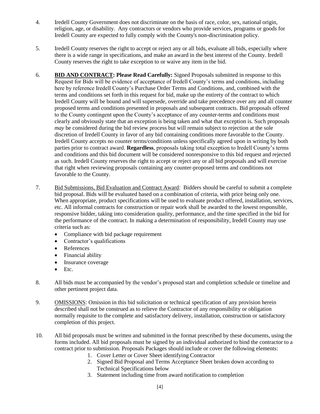- 4. Iredell County Government does not discriminate on the basis of race, color, sex, national origin, religion, age, or disability. Any contractors or vendors who provide services, programs or goods for Iredell County are expected to fully comply with the County's non-discrimination policy.
- 5. Iredell County reserves the right to accept or reject any or all bids, evaluate all bids, especially where there is a wide range in specifications, and make an award in the best interest of the County. Iredell County reserves the right to take exception to or waive any item in the bid.
- 6. **BID AND CONTRACT: Please Read Carefully:** Signed Proposals submitted in response to this Request for Bids will be evidence of acceptance of Iredell County's terms and conditions, including here by reference Iredell County's Purchase Order Terms and Conditions, and, combined with the terms and conditions set forth in this request for bid, make up the entirety of the contract to which Iredell County will be bound and will supersede, override and take precedence over any and all counter proposed terms and conditions presented in proposals and subsequent contracts. Bid proposals offered to the County contingent upon the County's acceptance of any counter-terms and conditions must clearly and obviously state that an exception is being taken and what that exception is. Such proposals *may* be considered during the bid review process but will remain subject to rejection at the sole discretion of Iredell County in favor of any bid containing conditions more favorable to the County. Iredell County accepts no counter terms/conditions unless specifically agreed upon in writing by both parties prior to contract award. **Regardless**, proposals taking total exception to Iredell County's terms and conditions and this bid document will be considered nonresponsive to this bid request and rejected as such. Iredell County reserves the right to accept or reject any or all bid proposals and will exercise that right when reviewing proposals containing any counter-proposed terms and conditions not favorable to the County.
- 7. Bid Submissions, Bid Evaluation and Contract Award: Bidders should be careful to submit a complete bid proposal. Bids will be evaluated based on a combination of criteria, with price being only one. When appropriate, product specifications will be used to evaluate product offered, installation, services, etc. All informal contracts for construction or repair work shall be awarded to the lowest responsible, responsive bidder, taking into consideration quality, performance, and the time specified in the bid for the performance of the contract. In making a determination of responsibility, Iredell County may use criteria such as:
	- Compliance with bid package requirement
	- Contractor's qualifications
	- References
	- Financial ability
	- Insurance coverage
	- $\bullet$  Etc.
- 8. All bids must be accompanied by the vendor's proposed start and completion schedule or timeline and other pertinent project data.
- 9. OMISSIONS: Omission in this bid solicitation or technical specification of any provision herein described shall not be construed as to relieve the Contractor of any responsibility or obligation normally requisite to the complete and satisfactory delivery, installation, construction or satisfactory completion of this project.
- 10. All bid proposals must be written and submitted in the format prescribed by these documents, using the forms included. All bid proposals must be signed by an individual authorized to bind the contractor to a contract prior to submission. Proposals Packages should include or cover the following elements:
	- 1. Cover Letter or Cover Sheet identifying Contractor
	- 2. Signed Bid Proposal and Terms Acceptance Sheet broken down according to Technical Specifications below
	- 3. Statement including time from award notification to completion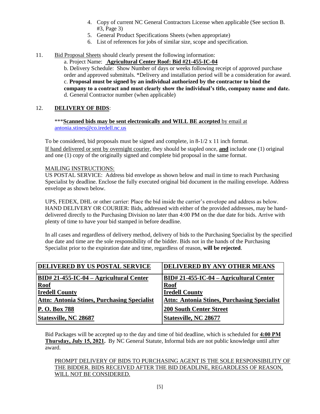- 4. Copy of current NC General Contractors License when applicable (See section B. #3, Page 3)
- 5. General Product Specifications Sheets (when appropriate)
- 6. List of references for jobs of similar size, scope and specification.
- 11. Bid Proposal Sheets should clearly present the following information:

a. Project Name: **Agricultural Center Roof: Bid #21-455-IC-04** b. Delivery Schedule: Show Number of days or weeks following receipt of approved purchase order and approved submittals. \*Delivery and installation period will be a consideration for award. c. **Proposal must be signed by an individual authorized by the contractor to bind the company to a contract and must clearly show the individual's title, company name and date.** d. General Contractor number (when applicable)

#### 12. **DELIVERY OF BIDS**:

\*\*\***Scanned bids may be sent electronically and WILL BE accepted** by email at [antonia.stines@co.iredell.nc.us](mailto:antonia.stines@co.iredell.nc.us)

To be considered, bid proposals must be signed and complete, in  $8-1/2 \times 11$  inch format. If hand delivered or sent by overnight courier, they should be stapled once, **and** include one (1) original and one (1) copy of the originally signed and complete bid proposal in the same format.

#### MAILING INSTRUCTIONS:

US POSTAL SERVICE: Address bid envelope as shown below and mail in time to reach Purchasing Specialist by deadline. Enclose the fully executed original bid document in the mailing envelope. Address envelope as shown below.

UPS, FEDEX, DHL or other carrier: Place the bid inside the carrier's envelope and address as below. HAND DELIVERY OR COURIER: Bids, addressed with either of the provided addresses, may be handdelivered directly to the Purchasing Division no later than 4:00 PM on the due date for bids. Arrive with plenty of time to have your bid stamped in before deadline.

In all cases and regardless of delivery method, delivery of bids to the Purchasing Specialist by the specified due date and time are the sole responsibility of the bidder. Bids not in the hands of the Purchasing Specialist prior to the expiration date and time, regardless of reason, **will be rejected**.

| DELIVERED BY US POSTAL SERVICE                     | DELIVERED BY ANY OTHER MEANS                       |
|----------------------------------------------------|----------------------------------------------------|
| BID# 21-455-IC-04 – Agricultural Center            | $BID# 21-455-IC-04 - Agricultural Center$          |
| <b>Roof</b>                                        | <b>Roof</b>                                        |
| <b>Iredell County</b>                              | <b>Iredell County</b>                              |
| <b>Attn: Antonia Stines, Purchasing Specialist</b> | <b>Attn: Antonia Stines, Purchasing Specialist</b> |
| P. O. Box 788                                      | <b>200 South Center Street</b>                     |
| <b>Statesville, NC 28687</b>                       | Statesville, NC 28677                              |

Bid Packages will be accepted up to the day and time of bid deadline, which is scheduled for **4:00 PM Thursday, July 15, 2021.** By NC General Statute, Informal bids are not public knowledge until after award.

#### PROMPT DELIVERY OF BIDS TO PURCHASING AGENT IS THE SOLE RESPONSIBILITY OF THE BIDDER. BIDS RECEIVED AFTER THE BID DEADLINE, REGARDLESS OF REASON, WILL NOT BE CONSIDERED.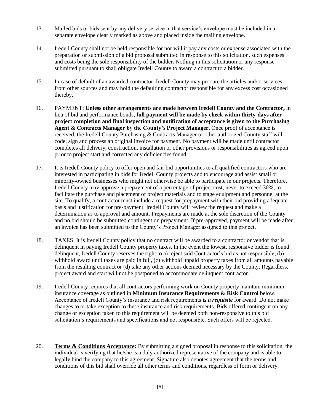- 13. Mailed bids or bids sent by any delivery service in that service's envelope must be included in a separate envelope clearly marked as above and placed inside the mailing envelope.
- 14. Iredell County shall not be held responsible for nor will it pay any costs or expense associated with the preparation or submission of a bid proposal submitted in response to this solicitation, such expenses and costs being the sole responsibility of the bidder. Nothing in this solicitation or any response submitted pursuant to shall obligate Iredell County to award a contract to a bidder.
- 15. In case of default of an awarded contractor, Iredell County may procure the articles and/or services from other sources and may hold the defaulting contractor responsible for any excess cost occasioned thereby.
- 16. PAYMENT: **Unless other arrangements are made between Iredell County and the Contractor,** in lieu of bid and performance bonds, **full payment will be made by check within thirty-days after project completion and final inspection and notification of acceptance is given to the Purchasing Agent & Contracts Manager by the County's Project Manager.** Once proof of acceptance is received, the Iredell County Purchasing & Contracts Manager or other authorized County staff will code, sign and process an original invoice for payment. No payment will be made until contractor completes all delivery, construction, installation or other provisions or responsibilities as agreed upon prior to project start and corrected any deficiencies found.
- 17. It is Iredell County policy to offer open and fair bid opportunities to all qualified contractors who are interested in participating in bids for Iredell County projects and to encourage and assist small or minority-owned businesses who might not otherwise be able to participate in our projects. Therefore, Iredell County may approve a prepayment of a percentage of project cost, never to exceed 30%, to facilitate the purchase and placement of project materials and to stage equipment and personnel at the site. To qualify, a contractor must include a request for prepayment with their bid providing adequate basis and justification for pre-payment. Iredell County will review the request and make a determination as to approval and amount. Prepayments are made at the sole discretion of the County and no bid should be submitted contingent on prepayment. If pre-approved, payment will be made after an invoice has been submitted to the County's Project Manager assigned to this project.
- 18. TAXES: It is Iredell County policy that no contract will be awarded to a contractor or vendor that is delinquent in paying Iredell County property taxes. In the event the lowest, responsive bidder is found delinquent, Iredell County reserves the right to a) reject said Contractor's bid as not responsible, (b) withhold award until taxes are paid in full, (c) withhold unpaid property taxes from all amounts payable from the resulting contract or (d) take any other actions deemed necessary by the County. Regardless, project award and start will not be postponed to accommodate delinquent contractor.
- 19. Iredell County requires that all contractors performing work on County property maintain minimum insurance coverage as outlined in **Minimum Insurance Requirements & Risk Control** below. Acceptance of Iredell County's insurance and risk requirements *is a requisite* for award. Do not make changes to or take exception to these insurance and risk requirements. Bids offered contingent on any change or exception taken to this requirement will be deemed both non-responsive to this bid solicitation's requirements and specifications and not responsible. Such offers will be rejected.
- 20. **Terms & Conditions Acceptance:** By submitting a signed proposal in response to this solicitation, the individual is verifying that he/she is a duly authorized representative of the company and is able to legally bind the company to this agreement. Signature also denotes agreement that the terms and conditions of this bid shall override all other terms and conditions, regardless of form or delivery.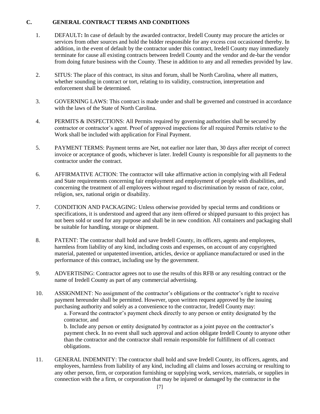#### **C. GENERAL CONTRACT TERMS AND CONDITIONS**

- 1. DEFAULT**:** In case of default by the awarded contractor, Iredell County may procure the articles or services from other sources and hold the bidder responsible for any excess cost occasioned thereby. In addition, in the event of default by the contractor under this contract, Iredell County may immediately terminate for cause all existing contracts between Iredell County and the vendor and de-bar the vendor from doing future business with the County. These in addition to any and all remedies provided by law.
- 2. SITUS: The place of this contract, its situs and forum, shall be North Carolina, where all matters, whether sounding in contract or tort, relating to its validity, construction, interpretation and enforcement shall be determined.
- 3. GOVERNING LAWS: This contract is made under and shall be governed and construed in accordance with the laws of the State of North Carolina.
- 4. PERMITS & INSPECTIONS: All Permits required by governing authorities shall be secured by contractor or contractor's agent. Proof of approved inspections for all required Permits relative to the Work shall be included with application for Final Payment.
- 5. PAYMENT TERMS: Payment terms are Net, not earlier nor later than, 30 days after receipt of correct invoice or acceptance of goods, whichever is later. Iredell County is responsible for all payments to the contractor under the contract.
- 6. AFFIRMATIVE ACTION: The contractor will take affirmative action in complying with all Federal and State requirements concerning fair employment and employment of people with disabilities, and concerning the treatment of all employees without regard to discrimination by reason of race, color, religion, sex, national origin or disability.
- 7. CONDITION AND PACKAGING: Unless otherwise provided by special terms and conditions or specifications, it is understood and agreed that any item offered or shipped pursuant to this project has not been sold or used for any purpose and shall be in new condition. All containers and packaging shall be suitable for handling, storage or shipment.
- 8. PATENT: The contractor shall hold and save Iredell County, its officers, agents and employees, harmless from liability of any kind, including costs and expenses, on account of any copyrighted material, patented or unpatented invention, articles, device or appliance manufactured or used in the performance of this contract, including use by the government.
- 9. ADVERTISING: Contractor agrees not to use the results of this RFB or any resulting contract or the name of Iredell County as part of any commercial advertising.
- 10. ASSIGNMENT: No assignment of the contractor's obligations or the contractor's right to receive payment hereunder shall be permitted. However, upon written request approved by the issuing purchasing authority and solely as a convenience to the contractor, Iredell County may: a. Forward the contractor's payment check directly to any person or entity designated by the contractor, and

b. Include any person or entity designated by contractor as a joint payee on the contractor's payment check. In no event shall such approval and action obligate Iredell County to anyone other than the contractor and the contractor shall remain responsible for fulfillment of all contract obligations.

11. GENERAL INDEMNITY: The contractor shall hold and save Iredell County, its officers, agents, and employees, harmless from liability of any kind, including all claims and losses accruing or resulting to any other person, firm, or corporation furnishing or supplying work, services, materials, or supplies in connection with the a firm, or corporation that may be injured or damaged by the contractor in the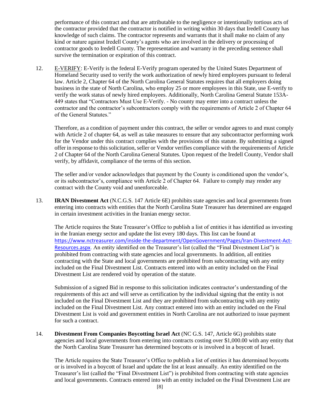performance of this contract and that are attributable to the negligence or intentionally tortious acts of the contractor provided that the contractor is notified in writing within 30 days that Iredell County has knowledge of such claims. The contractor represents and warrants that it shall make no claim of any kind or nature against Iredell County's agents who are involved in the delivery or processing of contractor goods to Iredell County. The representation and warranty in the preceding sentence shall survive the termination or expiration of this contract.

12. E-VERIFY: E-Verify is the federal E-Verify program operated by the United States Department of Homeland Security used to verify the work authorization of newly hired employees pursuant to federal law. Article 2, Chapter 64 of the North Carolina General Statutes requires that all employers doing business in the state of North Carolina, who employ 25 or more employees in this State, use E-verify to verify the work status of newly hired employees. Additionally, North Carolina General Statute 153A-449 states that "Contractors Must Use E-Verify. - No county may enter into a contract unless the contractor and the contractor's subcontractors comply with the requirements of Article 2 of Chapter 64 of the General Statutes."

Therefore, as a condition of payment under this contract, the seller or vendor agrees to and must comply with Article 2 of chapter 64, as well as take measures to ensure that any subcontractor performing work for the Vendor under this contract complies with the provisions of this statute. By submitting a signed offer in response to this solicitation, seller or Vendor verifies compliance with the requirements of Article 2 of Chapter 64 of the North Carolina General Statutes. Upon request of the Iredell County, Vendor shall verify, by affidavit, compliance of the terms of this section.

The seller and/or vendor acknowledges that payment by the County is conditioned upon the vendor's, or its subcontractor's, compliance with Article 2 of Chapter 64. Failure to comply may render any contract with the County void and unenforceable.

13. **IRAN Divestment Act** (N.C.G.S. 147 Article 6E) prohibits state agencies and local governments from entering into contracts with entities that the North Carolina State Treasurer has determined are engaged in certain investment activities in the Iranian energy sector.

The Article requires the State Treasurer's Office to publish a list of entities it has identified as investing in the Iranian energy sector and update the list every 180 days. This list can be found at [https://www.nctreasurer.com/inside-the-department/OpenGovernment/Pages/Iran-Divestment-Act-](https://www.nctreasurer.com/inside-the-department/OpenGovernment/Pages/Iran-Divestment-Act-Resources.aspx)[Resources.aspx.](https://www.nctreasurer.com/inside-the-department/OpenGovernment/Pages/Iran-Divestment-Act-Resources.aspx) An entity identified on the Treasurer's list (called the "Final Divestment List") is prohibited from contracting with state agencies and local governments. In addition, all entities contracting with the State and local governments are prohibited from subcontracting with any entity included on the Final Divestment List. Contracts entered into with an entity included on the Final Divestment List are rendered void by operation of the statute.

Submission of a signed Bid in response to this solicitation indicates contractor's understanding of the requirements of this act and will serve as certification by the individual signing that the entity is not included on the Final Divestment List and they are prohibited from subcontracting with any entity included on the Final Divestment List. Any contract entered into with an entity included on the Final Divestment List is void and government entities in North Carolina are not authorized to issue payment for such a contract.

14. **Divestment From Companies Boycotting Israel Act** (NC G.S. 147, Article 6G) prohibits state agencies and local governments from entering into contracts costing over \$1,000.00 with any entity that the North Carolina State Treasurer has determined boycotts or is involved in a boycott of Israel.

The Article requires the State Treasurer's Office to publish a list of entities it has determined boycotts or is involved in a boycott of Israel and update the list at least annually. An entity identified on the Treasurer's list (called the "Final Divestment List") is prohibited from contracting with state agencies and local governments. Contracts entered into with an entity included on the Final Divestment List are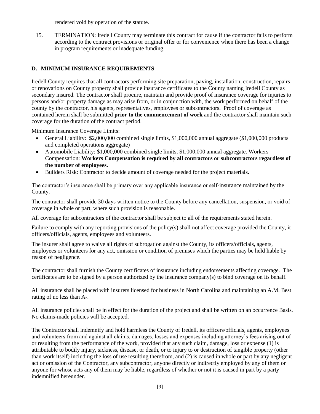rendered void by operation of the statute.

15. TERMINATION: Iredell County may terminate this contract for cause if the contractor fails to perform according to the contract provisions or original offer or for convenience when there has been a change in program requirements or inadequate funding.

# **D. MINIMUM INSURANCE REQUIREMENTS**

Iredell County requires that all contractors performing site preparation, paving, installation, construction, repairs or renovations on County property shall provide insurance certificates to the County naming Iredell County as secondary insured. The contractor shall procure, maintain and provide proof of insurance coverage for injuries to persons and/or property damage as may arise from, or in conjunction with, the work performed on behalf of the county by the contractor, his agents, representatives, employees or subcontractors. Proof of coverage as contained herein shall be submitted **prior to the commencement of work** and the contractor shall maintain such coverage for the duration of the contract period.

Minimum Insurance Coverage Limits:

- General Liability: \$2,000,000 combined single limits, \$1,000,000 annual aggregate (\$1,000,000 products and completed operations aggregate)
- Automobile Liability: \$1,000,000 combined single limits, \$1,000,000 annual aggregate. Workers Compensation: **Workers Compensation is required by all contractors or subcontractors regardless of the number of employees.**
- Builders Risk: Contractor to decide amount of coverage needed for the project materials.

The contractor's insurance shall be primary over any applicable insurance or self-insurance maintained by the County.

The contractor shall provide 30 days written notice to the County before any cancellation, suspension, or void of coverage in whole or part, where such provision is reasonable.

All coverage for subcontractors of the contractor shall be subject to all of the requirements stated herein.

Failure to comply with any reporting provisions of the policy(s) shall not affect coverage provided the County, it officers/officials, agents, employees and volunteers.

The insurer shall agree to waive all rights of subrogation against the County, its officers/officials, agents, employees or volunteers for any act, omission or condition of premises which the parties may be held liable by reason of negligence.

The contractor shall furnish the County certificates of insurance including endorsements affecting coverage. The certificates are to be signed by a person authorized by the insurance company(s) to bind coverage on its behalf.

All insurance shall be placed with insurers licensed for business in North Carolina and maintaining an A.M. Best rating of no less than A-.

All insurance policies shall be in effect for the duration of the project and shall be written on an occurrence Basis. No claims-made policies will be accepted.

The Contractor shall indemnify and hold harmless the County of Iredell, its officers/officials, agents, employees and volunteers from and against all claims, damages, losses and expenses including attorney's fees arising out of or resulting from the performance of the work, provided that any such claim, damage, loss or expense (1) is attributable to bodily injury, sickness, disease, or death, or to injury to or destruction of tangible property (other than work itself) including the loss of use resulting therefrom, and (2) is caused in whole or part by any negligent act or omission of the Contractor, any subcontractor, anyone directly or indirectly employed by any of them or anyone for whose acts any of them may be liable, regardless of whether or not it is caused in part by a party indemnified hereunder.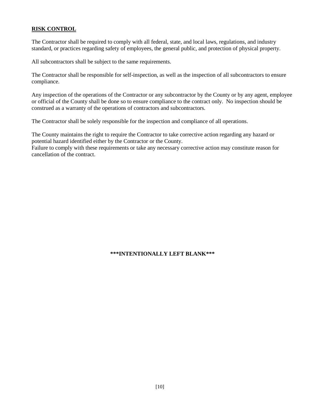# **RISK CONTROL**

The Contractor shall be required to comply with all federal, state, and local laws, regulations, and industry standard, or practices regarding safety of employees, the general public, and protection of physical property.

All subcontractors shall be subject to the same requirements.

The Contractor shall be responsible for self-inspection, as well as the inspection of all subcontractors to ensure compliance.

Any inspection of the operations of the Contractor or any subcontractor by the County or by any agent, employee or official of the County shall be done so to ensure compliance to the contract only. No inspection should be construed as a warranty of the operations of contractors and subcontractors.

The Contractor shall be solely responsible for the inspection and compliance of all operations.

The County maintains the right to require the Contractor to take corrective action regarding any hazard or potential hazard identified either by the Contractor or the County.

Failure to comply with these requirements or take any necessary corrective action may constitute reason for cancellation of the contract.

# **\*\*\*INTENTIONALLY LEFT BLANK\*\*\***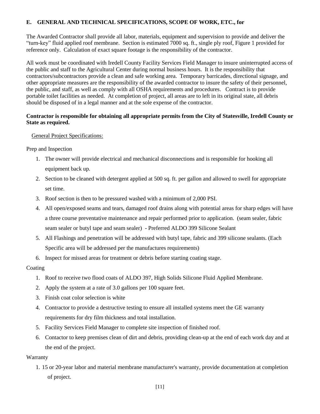#### **E. GENERAL AND TECHNICAL SPECIFICATIONS, SCOPE OF WORK, ETC., for**

The Awarded Contractor shall provide all labor, materials, equipment and supervision to provide and deliver the "turn-key" fluid applied roof membrane. Section is estimated 7000 sq. ft., single ply roof, Figure 1 provided for reference only. Calculation of exact square footage is the responsibility of the contractor.

All work must be coordinated with Iredell County Facility Services Field Manager to insure uninterrupted access of the public and staff to the Agricultural Center during normal business hours. It is the responsibility that contractors/subcontractors provide a clean and safe working area. Temporary barricades, directional signage, and other appropriate measures are the responsibility of the awarded contractor to insure the safety of their personnel, the public, and staff, as well as comply with all OSHA requirements and procedures. Contract is to provide portable toilet facilities as needed. At completion of project, all areas are to left in its original state, all debris should be disposed of in a legal manner and at the sole expense of the contractor.

#### **Contractor is responsible for obtaining all appropriate permits from the City of Statesville, Iredell County or State as required.**

#### General Project Specifications:

Prep and Inspection

- 1. The owner will provide electrical and mechanical disconnections and is responsible for hooking all equipment back up.
- 2. Section to be cleaned with detergent applied at 500 sq. ft. per gallon and allowed to swell for appropriate set time.
- 3. Roof section is then to be pressured washed with a minimum of 2,000 PSI.
- 4. All open/exposed seams and tears, damaged roof drains along with potential areas for sharp edges will have a three course preventative maintenance and repair performed prior to application. (seam sealer, fabric seam sealer or butyl tape and seam sealer) - Preferred ALDO 399 Silicone Sealant
- 5. All Flashings and penetration will be addressed with butyl tape, fabric and 399 silicone sealants. (Each Specific area will be addressed per the manufactures requirements)
- 6. Inspect for missed areas for treatment or debris before starting coating stage.

#### Coating

- 1. Roof to receive two flood coats of ALDO 397, High Solids Silicone Fluid Applied Membrane.
- 2. Apply the system at a rate of 3.0 gallons per 100 square feet.
- 3. Finish coat color selection is white
- 4. Contractor to provide a destructive testing to ensure all installed systems meet the GE warranty requirements for dry film thickness and total installation.
- 5. Facility Services Field Manager to complete site inspection of finished roof.
- 6. Contactor to keep premises clean of dirt and debris, providing clean-up at the end of each work day and at the end of the project.

#### **Warranty**

1. 15 or 20-year labor and material membrane manufacturer's warranty, provide documentation at completion of project.